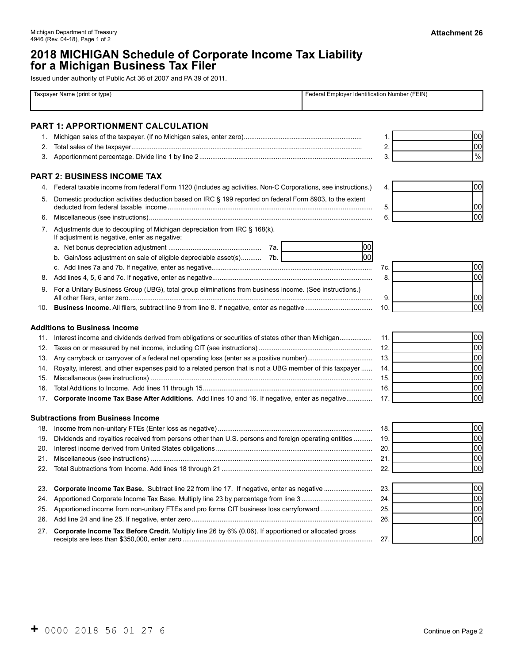# **2018 MICHIGAN Schedule of Corporate Income Tax Liability for a Michigan Business Tax Filer**

Issued under authority of Public Act 36 of 2007 and PA 39 of 2011.

|     | Taxpayer Name (print or type)                                                                                              | Federal Employer Identification Number (FEIN) |               |
|-----|----------------------------------------------------------------------------------------------------------------------------|-----------------------------------------------|---------------|
|     | <b>PART 1: APPORTIONMENT CALCULATION</b>                                                                                   |                                               |               |
| 1.  |                                                                                                                            | 1.                                            | 00            |
| 2.  |                                                                                                                            | 2.                                            | 00            |
| 3.  |                                                                                                                            | 3.                                            | $\frac{9}{6}$ |
|     | <b>PART 2: BUSINESS INCOME TAX</b>                                                                                         |                                               |               |
| 4.  | Federal taxable income from federal Form 1120 (Includes ag activities. Non-C Corporations, see instructions.)              | 4.                                            | 00            |
| 5.  | Domestic production activities deduction based on IRC § 199 reported on federal Form 8903, to the extent                   | 5.                                            | 00            |
| 6.  |                                                                                                                            | 6.                                            | lool          |
| 7.  | Adjustments due to decoupling of Michigan depreciation from IRC § 168(k).<br>If adjustment is negative, enter as negative: |                                               |               |
|     |                                                                                                                            | 00                                            |               |
|     | b. Gain/loss adjustment on sale of eligible depreciable asset(s) 7b.                                                       | lool                                          |               |
|     |                                                                                                                            | 7c.                                           | 00            |
| 8.  |                                                                                                                            | 8.                                            | lool          |
|     | 9. For a Unitary Business Group (UBG), total group eliminations from business income. (See instructions.)                  |                                               |               |
|     |                                                                                                                            | 9.                                            | 00            |
| 10. |                                                                                                                            | 10.                                           | lool          |
|     | <b>Additions to Business Income</b>                                                                                        |                                               |               |
| 11. | Interest income and dividends derived from obligations or securities of states other than Michigan                         | 11.                                           | 00            |
| 12. |                                                                                                                            | 12.                                           | 00            |
| 13. |                                                                                                                            | 13.                                           | 00            |
| 14. | Royalty, interest, and other expenses paid to a related person that is not a UBG member of this taxpayer                   | 14.                                           | 00            |
| 15. |                                                                                                                            | 15.                                           | 00            |
| 16. |                                                                                                                            | 16.                                           | 00            |
| 17. | Corporate Income Tax Base After Additions. Add lines 10 and 16. If negative, enter as negative                             | 17.                                           | lool          |
|     | <b>Subtractions from Business Income</b>                                                                                   |                                               |               |
|     |                                                                                                                            | 18.                                           | 00            |
| 19. | Dividends and royalties received from persons other than U.S. persons and foreign operating entities                       | 19.                                           | 00            |
| 20. |                                                                                                                            | 20.                                           | 00            |
| 21. |                                                                                                                            | 21                                            | հու<br>υυ     |
| 22. |                                                                                                                            | 22.                                           | 00            |
| 23. |                                                                                                                            | 23.                                           | 00            |
| 24. |                                                                                                                            | 24.                                           | 00            |
| 25. | Apportioned income from non-unitary FTEs and pro forma CIT business loss carryforward                                      | 25.                                           | 00            |
| 26. |                                                                                                                            | 26.                                           | 00            |
| 27. | Corporate Income Tax Before Credit. Multiply line 26 by 6% (0.06). If apportioned or allocated gross                       | 27.                                           | 00            |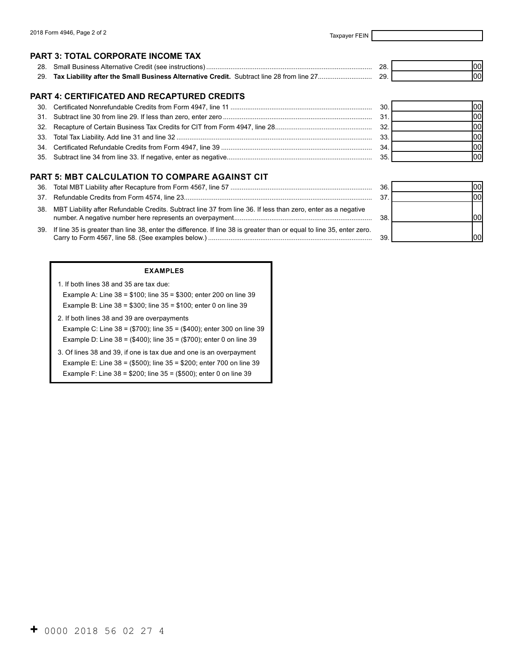00 00

00

 $|00|$ 

### **PART 3: TOTAL CORPORATE INCOME TAX**

00 00 28. Small Business Alternative Credit (see instructions) ......................................................................................... 28. 29. **Tax Liability after the Small Business Alternative Credit.** Subtract line 28 from line 27............................. 29.

### **PART 4: CERTIFICATED AND RECAPTURED CREDITS**

|  | 30. | 00I |
|--|-----|-----|
|  |     |     |
|  |     |     |
|  | 33. |     |
|  | 34. |     |
|  | 35  |     |

#### **PART 5: MBT CALCULATION TO COMPARE AGAINST CIT**

|                                                                                                                           | 36. |  |
|---------------------------------------------------------------------------------------------------------------------------|-----|--|
|                                                                                                                           | 37. |  |
| 38.   MBT Liability after Refundable Credits. Subtract line 37 from line 36. If less than zero, enter as a negative       | 38. |  |
| 39. If line 35 is greater than line 38, enter the difference. If line 38 is greater than or equal to line 35, enter zero. | 39. |  |
|                                                                                                                           |     |  |

#### **EXAMPLES**

| 1. If both lines 38 and 35 are tax due:                               |
|-----------------------------------------------------------------------|
| Example A: Line $38 = $100$ ; line $35 = $300$ ; enter 200 on line 39 |
| Example B: Line $38 = $300$ ; line $35 = $100$ ; enter 0 on line 39   |
| 2. If both lines 38 and 39 are overpayments                           |
| Example C, Line 20 - (\$700), line 25 - (\$400), enter 200 on line 20 |

- Example C: Line 38 = (\$700); line 35 = (\$400); enter 300 on line 39 Example D: Line 38 = (\$400); line 35 = (\$700); enter 0 on line 39
- 3. Of lines 38 and 39, if one is tax due and one is an overpayment Example E: Line 38 = (\$500); line 35 = \$200; enter 700 on line 39 Example F: Line 38 = \$200; line 35 = (\$500); enter 0 on line 39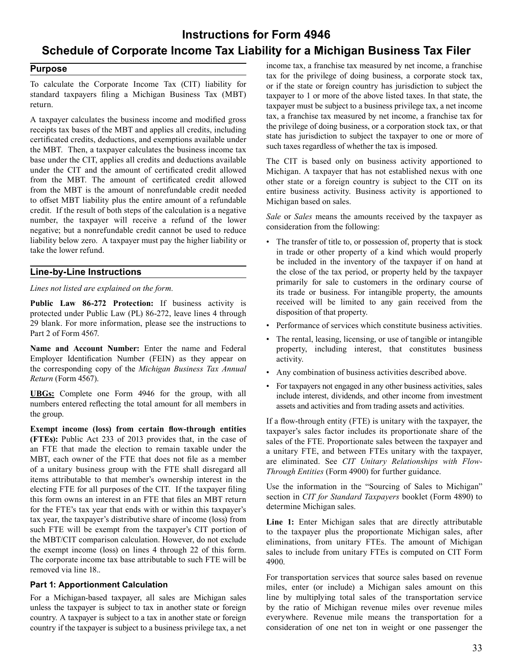# **Instructions for Form 4946 Schedule of Corporate Income Tax Liability for a Michigan Business Tax Filer**

### **Purpose**

 To calculate the Corporate Income Tax (CIT) liability for standard taxpayers filing a Michigan Business Tax (MBT) return.

 A taxpayer calculates the business income and modified gross receipts tax bases of the MBT and applies all credits, including certificated credits, deductions, and exemptions available under the MBT. Then, a taxpayer calculates the business income tax base under the CIT, applies all credits and deductions available under the CIT and the amount of certificated credit allowed from the MBT. The amount of certificated credit allowed from the MBT is the amount of nonrefundable credit needed to offset MBT liability plus the entire amount of a refundable credit. If the result of both steps of the calculation is a negative number, the taxpayer will receive a refund of the lower negative; but a nonrefundable credit cannot be used to reduce liability below zero. A taxpayer must pay the higher liability or take the lower refund.

### **Line-by-Line Instructions**

### *Lines not listed are explained on the form.*

 **Public Law 86-272 Protection:** If business activity is protected under Public Law (PL) 86-272, leave lines 4 through 29 blank. For more information, please see the instructions to Part 2 of Form 4567.

 **Name and Account Number:** Enter the name and Federal Employer Identification Number (FEIN) as they appear on the corresponding copy of the *Michigan Business Tax Annual Return* (Form 4567).

 **UBGs:** Complete one Form 4946 for the group, with all numbers entered reflecting the total amount for all members in the group.

 **(FTEs):** Public Act 233 of 2013 provides that, in the case of an FTE that made the election to remain taxable under the MBT, each owner of the FTE that does not file as a member of a unitary business group with the FTE shall disregard all items attributable to that member's ownership interest in the electing FTE for all purposes of the CIT. If the taxpayer filing this form owns an interest in an FTE that files an MBT return for the FTE's tax year that ends with or within this taxpayer's tax year, the taxpayer's distributive share of income (loss) from such FTE will be exempt from the taxpayer's CIT portion of the MBT/CIT comparison calculation. However, do not exclude the exempt income (loss) on lines 4 through 22 of this form. The corporate income tax base attributable to such FTE will be removed via line 18.. **Exempt income (loss) from certain flow-through entities** 

### **Part 1: Apportionment Calculation**

 For a Michigan-based taxpayer, all sales are Michigan sales unless the taxpayer is subject to tax in another state or foreign country. A taxpayer is subject to a tax in another state or foreign country if the taxpayer is subject to a business privilege tax, a net  income tax, a franchise tax measured by net income, a franchise tax for the privilege of doing business, a corporate stock tax, or if the state or foreign country has jurisdiction to subject the taxpayer to 1 or more of the above listed taxes. In that state, the taxpayer must be subject to a business privilege tax, a net income tax, a franchise tax measured by net income, a franchise tax for the privilege of doing business, or a corporation stock tax, or that state has jurisdiction to subject the taxpayer to one or more of such taxes regardless of whether the tax is imposed.

 The CIT is based only on business activity apportioned to Michigan. A taxpayer that has not established nexus with one other state or a foreign country is subject to the CIT on its entire business activity. Business activity is apportioned to Michigan based on sales.

 *Sale* or *Sales* means the amounts received by the taxpayer as consideration from the following:

- The transfer of title to, or possession of, property that is stock in trade or other property of a kind which would properly be included in the inventory of the taxpayer if on hand at the close of the tax period, or property held by the taxpayer primarily for sale to customers in the ordinary course of its trade or business. For intangible property, the amounts received will be limited to any gain received from the disposition of that property.
- Performance of services which constitute business activities.
- The rental, leasing, licensing, or use of tangible or intangible property, including interest, that constitutes business activity.
- Any combination of business activities described above.
- For taxpayers not engaged in any other business activities, sales include interest, dividends, and other income from investment assets and activities and from trading assets and activities.

 If a flow-through entity (FTE) is unitary with the taxpayer, the taxpayer's sales factor includes its proportionate share of the sales of the FTE. Proportionate sales between the taxpayer and a unitary FTE, and between FTEs unitary with the taxpayer, are eliminated. See *CIT Unitary Relationships with Flow- Through Entities* (Form 4900) for further guidance.

 Use the information in the "Sourcing of Sales to Michigan" section in *CIT for Standard Taxpayers* booklet (Form 4890) to determine Michigan sales.

 **Line 1:** Enter Michigan sales that are directly attributable to the taxpayer plus the proportionate Michigan sales, after eliminations, from unitary FTEs. The amount of Michigan sales to include from unitary FTEs is computed on CIT Form 4900.

 For transportation services that source sales based on revenue miles, enter (or include) a Michigan sales amount on this line by multiplying total sales of the transportation service by the ratio of Michigan revenue miles over revenue miles everywhere. Revenue mile means the transportation for a consideration of one net ton in weight or one passenger the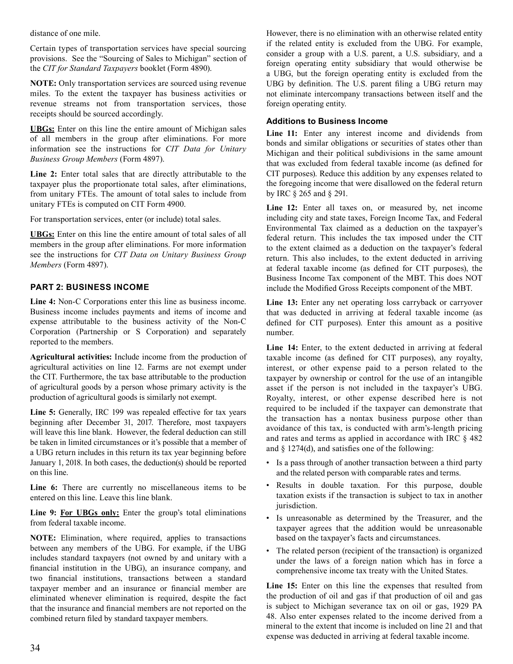distance of one mile.

 Certain types of transportation services have special sourcing provisions. See the "Sourcing of Sales to Michigan" section of the *CIT for Standard Taxpayers* booklet (Form 4890).

 **NOTE:** Only transportation services are sourced using revenue miles. To the extent the taxpayer has business activities or revenue streams not from transportation services, those receipts should be sourced accordingly.

 **UBGs:** Enter on this line the entire amount of Michigan sales of all members in the group after eliminations. For more information see the instructions for *CIT Data for Unitary Business Group Members* (Form 4897).

 **Line 2:** Enter total sales that are directly attributable to the taxpayer plus the proportionate total sales, after eliminations, from unitary FTEs. The amount of total sales to include from unitary FTEs is computed on CIT Form 4900.

 For transportation services, enter (or include) total sales.

 **UBGs:** Enter on this line the entire amount of total sales of all members in the group after eliminations. For more information see the instructions for *CIT Data on Unitary Business Group Members* (Form 4897).

# **PART 2: BUSINESS INCOME**

 **Line 4:** Non-C Corporations enter this line as business income. Business income includes payments and items of income and expense attributable to the business activity of the Non-C Corporation (Partnership or S Corporation) and separately reported to the members.

 **Agricultural activities:** Include income from the production of agricultural activities on line 12. Farms are not exempt under the CIT. Furthermore, the tax base attributable to the production of agricultural goods by a person whose primary activity is the production of agricultural goods is similarly not exempt.

 **Line 5:** Generally, IRC 199 was repealed effective for tax years beginning after December 31, 2017. Therefore, most taxpayers will leave this line blank. However, the federal deduction can still be taken in limited circumstances or it's possible that a member of a UBG return includes in this return its tax year beginning before January 1, 2018. In both cases, the deduction(s) should be reported on this line.

 **Line 6:** There are currently no miscellaneous items to be entered on this line. Leave this line blank.

 **Line 9: For UBGs only:** Enter the group's total eliminations from federal taxable income.

 **NOTE:** Elimination, where required, applies to transactions between any members of the UBG. For example, if the UBG includes standard taxpayers (not owned by and unitary with a financial institution in the UBG), an insurance company, and two financial institutions, transactions between a standard taxpayer member and an insurance or financial member are eliminated whenever elimination is required, despite the fact that the insurance and financial members are not reported on the combined return filed by standard taxpayer members.

 However, there is no elimination with an otherwise related entity if the related entity is excluded from the UBG. For example, consider a group with a U.S. parent, a U.S. subsidiary, and a foreign operating entity subsidiary that would otherwise be a UBG, but the foreign operating entity is excluded from the UBG by definition. The U.S. parent filing a UBG return may not eliminate intercompany transactions between itself and the foreign operating entity.

## **Additions to Business Income**

 **Line 11:** Enter any interest income and dividends from bonds and similar obligations or securities of states other than Michigan and their political subdivisions in the same amount that was excluded from federal taxable income (as defined for CIT purposes). Reduce this addition by any expenses related to the foregoing income that were disallowed on the federal return by IRC § 265 and § 291.

Line 12: Enter all taxes on, or measured by, net income including city and state taxes, Foreign Income Tax, and Federal Environmental Tax claimed as a deduction on the taxpayer's federal return. This includes the tax imposed under the CIT to the extent claimed as a deduction on the taxpayer's federal return. This also includes, to the extent deducted in arriving at federal taxable income (as defined for CIT purposes), the Business Income Tax component of the MBT. This does NOT include the Modified Gross Receipts component of the MBT.

 **Line 13:** Enter any net operating loss carryback or carryover that was deducted in arriving at federal taxable income (as defined for CIT purposes). Enter this amount as a positive number.

 **Line 14:** Enter, to the extent deducted in arriving at federal taxable income (as defined for CIT purposes), any royalty, interest, or other expense paid to a person related to the taxpayer by ownership or control for the use of an intangible asset if the person is not included in the taxpayer's UBG. Royalty, interest, or other expense described here is not required to be included if the taxpayer can demonstrate that the transaction has a nontax business purpose other than avoidance of this tax, is conducted with arm's-length pricing and rates and terms as applied in accordance with IRC § 482 and § 1274(d), and satisfies one of the following:

- Is a pass through of another transaction between a third party and the related person with comparable rates and terms.
- Results in double taxation. For this purpose, double taxation exists if the transaction is subject to tax in another jurisdiction.
- Is unreasonable as determined by the Treasurer, and the taxpayer agrees that the addition would be unreasonable based on the taxpayer's facts and circumstances.
- The related person (recipient of the transaction) is organized under the laws of a foreign nation which has in force a comprehensive income tax treaty with the United States.

 **Line 15:** Enter on this line the expenses that resulted from the production of oil and gas if that production of oil and gas is subject to Michigan severance tax on oil or gas, 1929 PA 48. Also enter expenses related to the income derived from a mineral to the extent that income is included on line 21 and that expense was deducted in arriving at federal taxable income.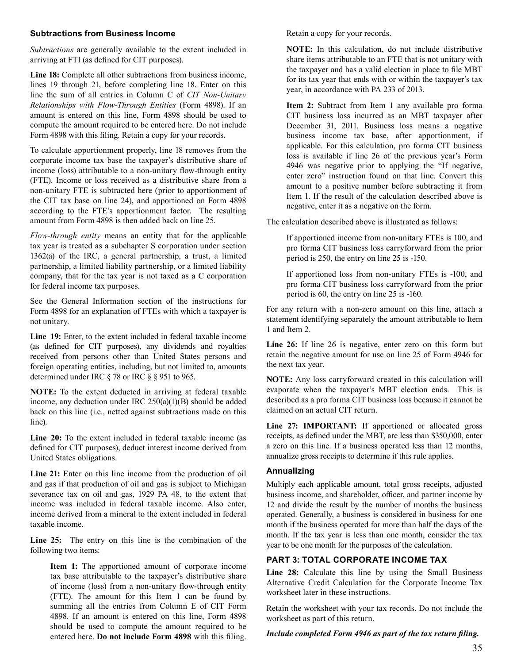### **Subtractions from Business Income**

*Subtractions* are generally available to the extent included in arriving at FTI (as defined for CIT purposes).

**Line 18:** Complete all other subtractions from business income, lines 19 through 21, before completing line 18. Enter on this line the sum of all entries in Column C of *CIT Non-Unitary Relationships with Flow-Through Entities* (Form 4898). If an amount is entered on this line, Form 4898 should be used to compute the amount required to be entered here. Do not include Form 4898 with this filing. Retain a copy for your records.

To calculate apportionment properly, line 18 removes from the corporate income tax base the taxpayer's distributive share of income (loss) attributable to a non-unitary flow-through entity (FTE). Income or loss received as a distributive share from a non-unitary FTE is subtracted here (prior to apportionment of the CIT tax base on line 24), and apportioned on Form 4898 according to the FTE's apportionment factor. The resulting amount from Form 4898 is then added back on line 25.

*Flow-through entity* means an entity that for the applicable tax year is treated as a subchapter S corporation under section 1362(a) of the IRC, a general partnership, a trust, a limited partnership, a limited liability partnership, or a limited liability company, that for the tax year is not taxed as a C corporation for federal income tax purposes.

See the General Information section of the instructions for Form 4898 for an explanation of FTEs with which a taxpayer is not unitary.

**Line 19:** Enter, to the extent included in federal taxable income (as defined for CIT purposes), any dividends and royalties received from persons other than United States persons and foreign operating entities, including, but not limited to, amounts determined under IRC § 78 or IRC § § 951 to 965.

**NOTE:** To the extent deducted in arriving at federal taxable income, any deduction under IRC 250(a)(1)(B) should be added back on this line (i.e., netted against subtractions made on this line).

**Line 20:** To the extent included in federal taxable income (as defined for CIT purposes), deduct interest income derived from United States obligations.

**Line 21:** Enter on this line income from the production of oil and gas if that production of oil and gas is subject to Michigan severance tax on oil and gas, 1929 PA 48, to the extent that income was included in federal taxable income. Also enter, income derived from a mineral to the extent included in federal taxable income.

**Line 25:** The entry on this line is the combination of the following two items:

**Item 1:** The apportioned amount of corporate income tax base attributable to the taxpayer's distributive share of income (loss) from a non-unitary flow-through entity (FTE). The amount for this Item 1 can be found by summing all the entries from Column E of CIT Form 4898. If an amount is entered on this line, Form 4898 should be used to compute the amount required to be entered here. **Do not include Form 4898** with this filing.

Retain a copy for your records.

**NOTE:** In this calculation, do not include distributive share items attributable to an FTE that is not unitary with the taxpayer and has a valid election in place to file MBT for its tax year that ends with or within the taxpayer's tax year, in accordance with PA 233 of 2013.

**Item 2:** Subtract from Item 1 any available pro forma CIT business loss incurred as an MBT taxpayer after December 31, 2011. Business loss means a negative business income tax base, after apportionment, if applicable. For this calculation, pro forma CIT business loss is available if line 26 of the previous year's Form 4946 was negative prior to applying the "If negative, enter zero" instruction found on that line. Convert this amount to a positive number before subtracting it from Item 1. If the result of the calculation described above is negative, enter it as a negative on the form.

The calculation described above is illustrated as follows:

If apportioned income from non-unitary FTEs is 100, and pro forma CIT business loss carryforward from the prior period is 250, the entry on line 25 is -150.

If apportioned loss from non-unitary FTEs is -100, and pro forma CIT business loss carryforward from the prior period is 60, the entry on line 25 is -160.

For any return with a non-zero amount on this line, attach a statement identifying separately the amount attributable to Item 1 and Item 2.

Line 26: If line 26 is negative, enter zero on this form but retain the negative amount for use on line 25 of Form 4946 for the next tax year.

**NOTE:** Any loss carryforward created in this calculation will evaporate when the taxpayer's MBT election ends. This is described as a pro forma CIT business loss because it cannot be claimed on an actual CIT return.

**Line 27: IMPORTANT:** If apportioned or allocated gross receipts, as defined under the MBT, are less than \$350,000, enter a zero on this line. If a business operated less than 12 months, annualize gross receipts to determine if this rule applies.

## **Annualizing**

Multiply each applicable amount, total gross receipts, adjusted business income, and shareholder, officer, and partner income by 12 and divide the result by the number of months the business operated. Generally, a business is considered in business for one month if the business operated for more than half the days of the month. If the tax year is less than one month, consider the tax year to be one month for the purposes of the calculation.

# **PART 3: TOTAL CORPORATE INCOME TAX**

Line 28: Calculate this line by using the Small Business Alternative Credit Calculation for the Corporate Income Tax worksheet later in these instructions.

Retain the worksheet with your tax records. Do not include the worksheet as part of this return.

### *Include completed Form 4946 as part of the tax return filing.*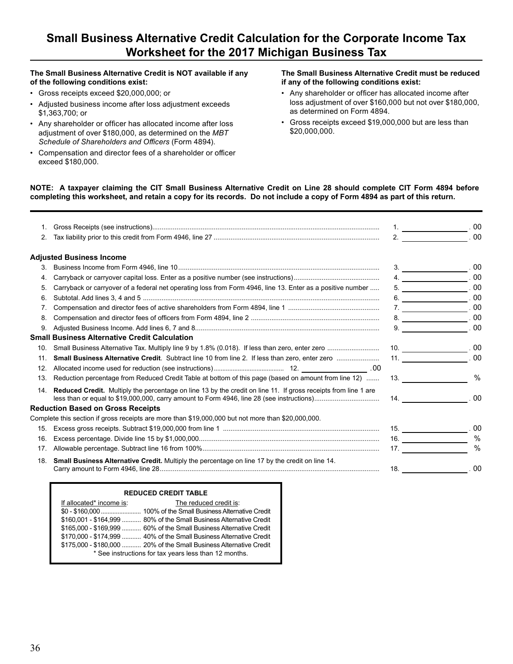# **Small Business Alternative Credit Calculation for the Corporate Income Tax Worksheet for the 2017 Michigan Business Tax**

# **The Small Business Alternative Credit is NOT available if any The Small Business Alternative Credit must be reduced**

- 
- Adjusted business income after loss adjustment exceeds \$1,363,700; or as determined on Form 4894.
- Any shareholder or officer has allocated income after loss Gross receipts exceed \$19,000,000 but are less than<br>adjustment of over \$180,000, as determined on the *MRT* \$20,000,000. adjustment of over \$180,000, as determined on the MBT *Schedule of Shareholders and Officers* (Form 4894).
- Compensation and director fees of a shareholder or officer exceed \$180,000.

# **of the following conditions exist: if any of the following conditions exist:**

- Gross receipts exceed \$20,000,000; or • Any shareholder or officer has allocated income after<br>• Adjusted business income after loss adjustment exceeds business adjustment of over \$160,000 but not over \$180,000,
	-

### **NOTE: A taxpayer claiming the CIT Small Business Alternative Credit on Line 28 should complete CIT Form 4894 before completing this worksheet, and retain a copy for its records. Do not include a copy of Form 4894 as part of this return.**

|     |                                                                                                                       | $1 \quad \overbrace{\hspace{2.5cm}} 00$                                                     |
|-----|-----------------------------------------------------------------------------------------------------------------------|---------------------------------------------------------------------------------------------|
| 2.  |                                                                                                                       | $2.$ 00                                                                                     |
|     | <b>Adjusted Business Income</b>                                                                                       |                                                                                             |
| 3.  |                                                                                                                       |                                                                                             |
| 4.  |                                                                                                                       | $4 \t\t 00$                                                                                 |
| 5.  | Carryback or carryover of a federal net operating loss from Form 4946, line 13. Enter as a positive number            | $5 \begin{array}{c} \begin{array}{c} \end{array} \end{array}$                               |
| 6.  |                                                                                                                       | $6 \begin{array}{c} \begin{array}{c} \text{}\\ \text{}\\ \text{}\\ \end{array} \end{array}$ |
| 7.  |                                                                                                                       |                                                                                             |
| 8.  |                                                                                                                       |                                                                                             |
| 9.  |                                                                                                                       | $9. \underline{\hspace{2.5cm}00}$                                                           |
|     | Small Business Alternative Credit Calculation                                                                         |                                                                                             |
| 10. |                                                                                                                       |                                                                                             |
| 11. |                                                                                                                       | $11.$ 00                                                                                    |
| 12. |                                                                                                                       |                                                                                             |
| 13. | Reduction percentage from Reduced Credit Table at bottom of this page (based on amount from line 12)                  | 13.<br>$\%$                                                                                 |
| 14. | <b>Reduced Credit.</b> Multiply the percentage on line 13 by the credit on line 11. If gross receipts from line 1 are | 14.00                                                                                       |
|     | <b>Reduction Based on Gross Receipts</b>                                                                              |                                                                                             |
|     | Complete this section if gross receipts are more than \$19,000,000 but not more than \$20,000,000.                    |                                                                                             |
| 15. |                                                                                                                       | $15.$ 00                                                                                    |
| 16. |                                                                                                                       | $\frac{0}{0}$                                                                               |
| 17. |                                                                                                                       | $\%$<br>17.                                                                                 |
| 18. | Small Business Alternative Credit. Multiply the percentage on line 17 by the credit on line 14.                       |                                                                                             |
|     |                                                                                                                       |                                                                                             |

### **REDUCED CREDIT TABLE**

| If allocated* income is: | The reduced credit is:                                              |
|--------------------------|---------------------------------------------------------------------|
|                          |                                                                     |
|                          | \$160,001 - \$164,999  80% of the Small Business Alternative Credit |
|                          | \$165,000 - \$169,999  60% of the Small Business Alternative Credit |
|                          | \$170,000 - \$174,999  40% of the Small Business Alternative Credit |
|                          | \$175,000 - \$180,000  20% of the Small Business Alternative Credit |
|                          | * See instructions for tax years less than 12 months.               |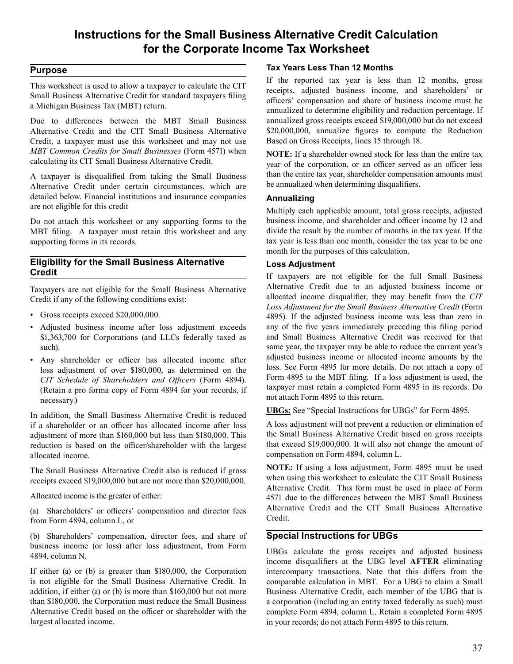# **Instructions for the Small Business Alternative Credit Calculation for the Corporate Income Tax Worksheet**

## **Purpose**

 This worksheet is used to allow a taxpayer to calculate the CIT Small Business Alternative Credit for standard taxpayers filing a Michigan Business Tax (MBT) return.

 Due to differences between the MBT Small Business Alternative Credit and the CIT Small Business Alternative Credit, a taxpayer must use this worksheet and may not use *MBT Common Credits for Small Businesses* (Form 4571) when calculating its CIT Small Business Alternative Credit.

 A taxpayer is disqualified from taking the Small Business Alternative Credit under certain circumstances, which are detailed below. Financial institutions and insurance companies are not eligible for this credit

 Do not attach this worksheet or any supporting forms to the MBT filing. A taxpayer must retain this worksheet and any supporting forms in its records.

## **Eligibility for the Small Business Alternative Credit**

 Taxpayers are not eligible for the Small Business Alternative Credit if any of the following conditions exist:

- Gross receipts exceed \$20,000,000.
- Adjusted business income after loss adjustment exceeds \$1,363,700 for Corporations (and LLCs federally taxed as such).
- Any shareholder or officer has allocated income after loss adjustment of over \$180,000, as determined on the *CIT Schedule of Shareholders and Officers* (Form 4894). (Retain a pro forma copy of Form 4894 for your records, if necessary.)

 In addition, the Small Business Alternative Credit is reduced if a shareholder or an officer has allocated income after loss adjustment of more than \$160,000 but less than \$180,000. This reduction is based on the officer/shareholder with the largest allocated income.

 The Small Business Alternative Credit also is reduced if gross receipts exceed \$19,000,000 but are not more than \$20,000,000.

 Allocated income is the greater of either:

 (a) Shareholders' or officers' compensation and director fees from Form 4894, column L, or

 (b) Shareholders' compensation, director fees, and share of business income (or loss) after loss adjustment, from Form 4894, column N.

 If either (a) or (b) is greater than \$180,000, the Corporation is not eligible for the Small Business Alternative Credit. In addition, if either (a) or (b) is more than \$160,000 but not more than \$180,000, the Corporation must reduce the Small Business Alternative Credit based on the officer or shareholder with the largest allocated income.

# **Tax Years Less Than 12 Months**

 If the reported tax year is less than 12 months, gross receipts, adjusted business income, and shareholders' or officers' compensation and share of business income must be annualized to determine eligibility and reduction percentage. If annualized gross receipts exceed \$19,000,000 but do not exceed \$20,000,000, annualize figures to compute the Reduction Based on Gross Receipts, lines 15 through 18.

 **NOTE:** If a shareholder owned stock for less than the entire tax year of the corporation, or an officer served as an officer less than the entire tax year, shareholder compensation amounts must be annualized when determining disqualifiers.

## **Annualizing**

 Multiply each applicable amount, total gross receipts, adjusted business income, and shareholder and officer income by 12 and divide the result by the number of months in the tax year. If the tax year is less than one month, consider the tax year to be one month for the purposes of this calculation.

## **Loss Adjustment**

 If taxpayers are not eligible for the full Small Business Alternative Credit due to an adjusted business income or allocated income disqualifier, they may benefit from the *CIT Loss Adjustment for the Small Business Alternative Credit* (Form 4895). If the adjusted business income was less than zero in any of the five years immediately preceding this filing period and Small Business Alternative Credit was received for that same year, the taxpayer may be able to reduce the current year's adjusted business income or allocated income amounts by the loss. See Form 4895 for more details. Do not attach a copy of Form 4895 to the MBT filing. If a loss adjustment is used, the taxpayer must retain a completed Form 4895 in its records. Do not attach Form 4895 to this return.

 **UBGs:** See "Special Instructions for UBGs" for Form 4895.

 A loss adjustment will not prevent a reduction or elimination of the Small Business Alternative Credit based on gross receipts that exceed \$19,000,000. It will also not change the amount of compensation on Form 4894, column L.

 **NOTE:** If using a loss adjustment, Form 4895 must be used when using this worksheet to calculate the CIT Small Business Alternative Credit. This form must be used in place of Form 4571 due to the differences between the MBT Small Business Alternative Credit and the CIT Small Business Alternative Credit.

# **Special Instructions for UBGs**

 UBGs calculate the gross receipts and adjusted business income disqualifiers at the UBG level **AFTER** eliminating intercompany transactions. Note that this differs from the comparable calculation in MBT. For a UBG to claim a Small Business Alternative Credit, each member of the UBG that is a corporation (including an entity taxed federally as such) must complete Form 4894, column L. Retain a completed Form 4895 in your records; do not attach Form 4895 to this return.